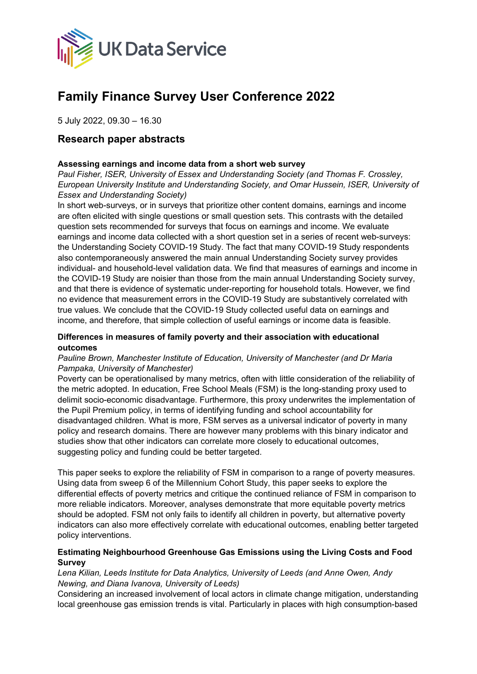

# **Family Finance Survey User Conference 2022**

5 July 2022, 09.30 – 16.30

# **Research paper abstracts**

## **Assessing earnings and income data from a short web survey**

*Paul Fisher, ISER, University of Essex and Understanding Society (and Thomas F. Crossley, European University Institute and Understanding Society, and Omar Hussein, ISER, University of Essex and Understanding Society)*

In short web-surveys, or in surveys that prioritize other content domains, earnings and income are often elicited with single questions or small question sets. This contrasts with the detailed question sets recommended for surveys that focus on earnings and income. We evaluate earnings and income data collected with a short question set in a series of recent web-surveys: the Understanding Society COVID-19 Study. The fact that many COVID-19 Study respondents also contemporaneously answered the main annual Understanding Society survey provides individual- and household-level validation data. We find that measures of earnings and income in the COVID-19 Study are noisier than those from the main annual Understanding Society survey, and that there is evidence of systematic under-reporting for household totals. However, we find no evidence that measurement errors in the COVID-19 Study are substantively correlated with true values. We conclude that the COVID-19 Study collected useful data on earnings and income, and therefore, that simple collection of useful earnings or income data is feasible.

#### **Differences in measures of family poverty and their association with educational outcomes**

## *Pauline Brown, Manchester Institute of Education, University of Manchester (and Dr Maria Pampaka, University of Manchester)*

Poverty can be operationalised by many metrics, often with little consideration of the reliability of the metric adopted. In education, Free School Meals (FSM) is the long-standing proxy used to delimit socio-economic disadvantage. Furthermore, this proxy underwrites the implementation of the Pupil Premium policy, in terms of identifying funding and school accountability for disadvantaged children. What is more, FSM serves as a universal indicator of poverty in many policy and research domains. There are however many problems with this binary indicator and studies show that other indicators can correlate more closely to educational outcomes, suggesting policy and funding could be better targeted.

This paper seeks to explore the reliability of FSM in comparison to a range of poverty measures. Using data from sweep 6 of the Millennium Cohort Study, this paper seeks to explore the differential effects of poverty metrics and critique the continued reliance of FSM in comparison to more reliable indicators. Moreover, analyses demonstrate that more equitable poverty metrics should be adopted. FSM not only fails to identify all children in poverty, but alternative poverty indicators can also more effectively correlate with educational outcomes, enabling better targeted policy interventions.

#### **Estimating Neighbourhood Greenhouse Gas Emissions using the Living Costs and Food Survey**

#### *Lena Kilian, Leeds Institute for Data Analytics, University of Leeds (and Anne Owen, Andy Newing, and Diana Ivanova, University of Leeds)*

Considering an increased involvement of local actors in climate change mitigation, understanding local greenhouse gas emission trends is vital. Particularly in places with high consumption-based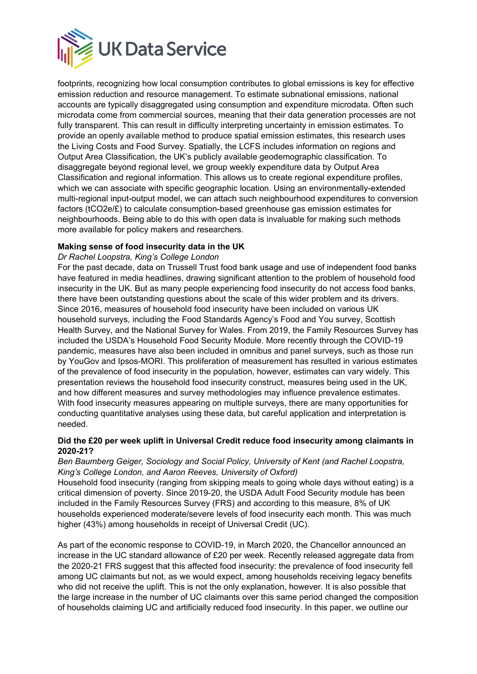

footprints, recognizing how local consumption contributes to global emissions is key for effective emission reduction and resource management. To estimate subnational emissions, national accounts are typically disaggregated using consumption and expenditure microdata. Often such microdata come from commercial sources, meaning that their data generation processes are not fully transparent. This can result in difficulty interpreting uncertainty in emission estimates. To provide an openly available method to produce spatial emission estimates, this research uses the Living Costs and Food Survey. Spatially, the LCFS includes information on regions and Output Area Classification, the UK's publicly available geodemographic classification. To disaggregate beyond regional level, we group weekly expenditure data by Output Area Classification and regional information. This allows us to create regional expenditure profiles, which we can associate with specific geographic location. Using an environmentally-extended multi-regional input-output model, we can attach such neighbourhood expenditures to conversion factors (tCO2e/£) to calculate consumption-based greenhouse gas emission estimates for neighbourhoods. Being able to do this with open data is invaluable for making such methods more available for policy makers and researchers.

# **Making sense of food insecurity data in the UK**

#### *Dr Rachel Loopstra, King's College London*

For the past decade, data on Trussell Trust food bank usage and use of independent food banks have featured in media headlines, drawing significant attention to the problem of household food insecurity in the UK. But as many people experiencing food insecurity do not access food banks, there have been outstanding questions about the scale of this wider problem and its drivers. Since 2016, measures of household food insecurity have been included on various UK household surveys, including the Food Standards Agency's Food and You survey, Scottish Health Survey, and the National Survey for Wales. From 2019, the Family Resources Survey has included the USDA's Household Food Security Module. More recently through the COVID-19 pandemic, measures have also been included in omnibus and panel surveys, such as those run by YouGov and Ipsos-MORI. This proliferation of measurement has resulted in various estimates of the prevalence of food insecurity in the population, however, estimates can vary widely. This presentation reviews the household food insecurity construct, measures being used in the UK, and how different measures and survey methodologies may influence prevalence estimates. With food insecurity measures appearing on multiple surveys, there are many opportunities for conducting quantitative analyses using these data, but careful application and interpretation is needed.

#### **Did the £20 per week uplift in Universal Credit reduce food insecurity among claimants in 2020-21?**

#### *Ben Baumberg Geiger, Sociology and Social Policy, University of Kent (and Rachel Loopstra, King's College London, and Aaron Reeves, University of Oxford)*

Household food insecurity (ranging from skipping meals to going whole days without eating) is a critical dimension of poverty. Since 2019-20, the USDA Adult Food Security module has been included in the Family Resources Survey (FRS) and according to this measure, 8% of UK households experienced moderate/severe levels of food insecurity each month. This was much higher (43%) among households in receipt of Universal Credit (UC).

As part of the economic response to COVID-19, in March 2020, the Chancellor announced an increase in the UC standard allowance of £20 per week. Recently released aggregate data from the 2020-21 FRS suggest that this affected food insecurity: the prevalence of food insecurity fell among UC claimants but not, as we would expect, among households receiving legacy benefits who did not receive the uplift. This is not the only explanation, however. It is also possible that the large increase in the number of UC claimants over this same period changed the composition of households claiming UC and artificially reduced food insecurity. In this paper, we outline our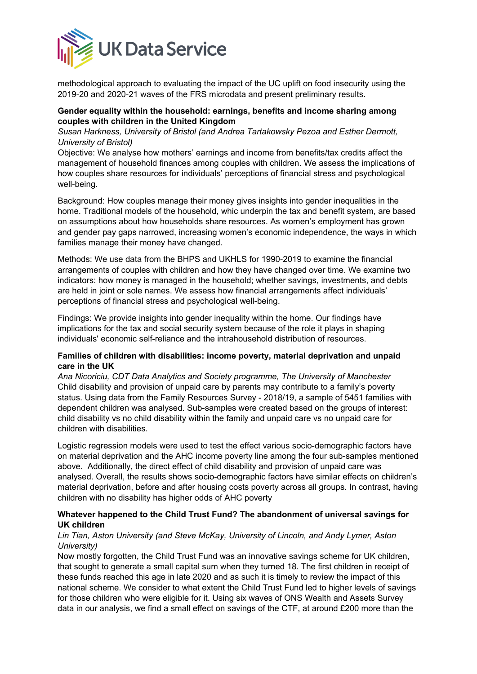

methodological approach to evaluating the impact of the UC uplift on food insecurity using the 2019-20 and 2020-21 waves of the FRS microdata and present preliminary results.

## **Gender equality within the household: earnings, benefits and income sharing among couples with children in the United Kingdom**

*Susan Harkness, University of Bristol (and Andrea Tartakowsky Pezoa and Esther Dermott, University of Bristol)* 

Objective: We analyse how mothers' earnings and income from benefits/tax credits affect the management of household finances among couples with children. We assess the implications of how couples share resources for individuals' perceptions of financial stress and psychological well-being.

Background: How couples manage their money gives insights into gender inequalities in the home. Traditional models of the household, whic underpin the tax and benefit system, are based on assumptions about how households share resources. As women's employment has grown and gender pay gaps narrowed, increasing women's economic independence, the ways in which families manage their money have changed.

Methods: We use data from the BHPS and UKHLS for 1990-2019 to examine the financial arrangements of couples with children and how they have changed over time. We examine two indicators: how money is managed in the household; whether savings, investments, and debts are held in joint or sole names. We assess how financial arrangements affect individuals' perceptions of financial stress and psychological well-being.

Findings: We provide insights into gender inequality within the home. Our findings have implications for the tax and social security system because of the role it plays in shaping individuals' economic self-reliance and the intrahousehold distribution of resources.

#### **Families of children with disabilities: income poverty, material deprivation and unpaid care in the UK**

*Ana Nicoriciu, CDT Data Analytics and Society programme, The University of Manchester* Child disability and provision of unpaid care by parents may contribute to a family's poverty status. Using data from the Family Resources Survey - 2018/19, a sample of 5451 families with dependent children was analysed. Sub-samples were created based on the groups of interest: child disability vs no child disability within the family and unpaid care vs no unpaid care for children with disabilities.

Logistic regression models were used to test the effect various socio-demographic factors have on material deprivation and the AHC income poverty line among the four sub-samples mentioned above. Additionally, the direct effect of child disability and provision of unpaid care was analysed. Overall, the results shows socio-demographic factors have similar effects on children's material deprivation, before and after housing costs poverty across all groups. In contrast, having children with no disability has higher odds of AHC poverty

# **Whatever happened to the Child Trust Fund? The abandonment of universal savings for UK children**

#### *Lin Tian, Aston University (and Steve McKay, University of Lincoln, and Andy Lymer, Aston University)*

Now mostly forgotten, the Child Trust Fund was an innovative savings scheme for UK children, that sought to generate a small capital sum when they turned 18. The first children in receipt of these funds reached this age in late 2020 and as such it is timely to review the impact of this national scheme. We consider to what extent the Child Trust Fund led to higher levels of savings for those children who were eligible for it. Using six waves of ONS Wealth and Assets Survey data in our analysis, we find a small effect on savings of the CTF, at around £200 more than the